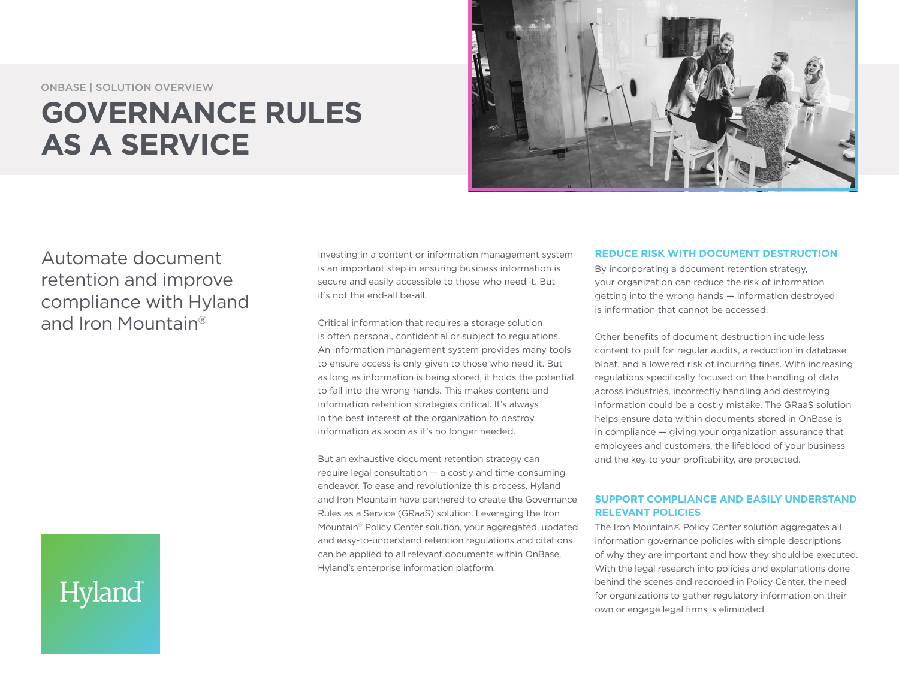ONBASE | SOLUTION OVERVIEW

## **GOVERNANCE RULES AS A SERVICE**



Automate document retention and improve compliance with Hyland and Iron Mountain®

Investing in a content or information management system is an important step in ensuring business information is secure and easily accessible to those who need it. But it's not the end-all be-all.

Critical information that requires a storage solution is often personal, confidential or subject to regulations. An information management system provides many tools to ensure access is only given to those who need it. But as long as information is being stored, it holds the potential to fall into the wrong hands. This makes content and information retention strategies critical. It's always in the best interest of the organization to destroy information as soon as it's no longer needed.

But an exhaustive document retention strategy can require legal consultation — a costly and time-consuming endeavor. To ease and revolutionize this process, Hyland and Iron Mountain have partnered to create the Governance Rules as a Service (GRaaS) solution. Leveraging the Iron Mountain® Policy Center solution, your aggregated, updated and easy-to-understand retention regulations and citations can be applied to all relevant documents within OnBase, Hyland's enterprise information platform.

#### **REDUCE RISK WITH DOCUMENT DESTRUCTION**

By incorporating a document retention strategy, your organization can reduce the risk of information getting into the wrong hands — information destroyed is information that cannot be accessed.

Other benefits of document destruction include less content to pull for regular audits, a reduction in database bloat, and a lowered risk of incurring fines. With increasing regulations specifically focused on the handling of data across industries, incorrectly handling and destroying information could be a costly mistake. The GRaaS solution helps ensure data within documents stored in OnBase is in compliance — giving your organization assurance that employees and customers, the lifeblood of your business and the key to your profitability, are protected.

### **SUPPORT COMPLIANCE AND EASILY UNDERSTAND RELEVANT POLICIES**

The Iron Mountain® Policy Center solution aggregates all information governance policies with simple descriptions of why they are important and how they should be executed. With the legal research into policies and explanations done behind the scenes and recorded in Policy Center, the need for organizations to gather regulatory information on their own or engage legal firms is eliminated.

# Hyland